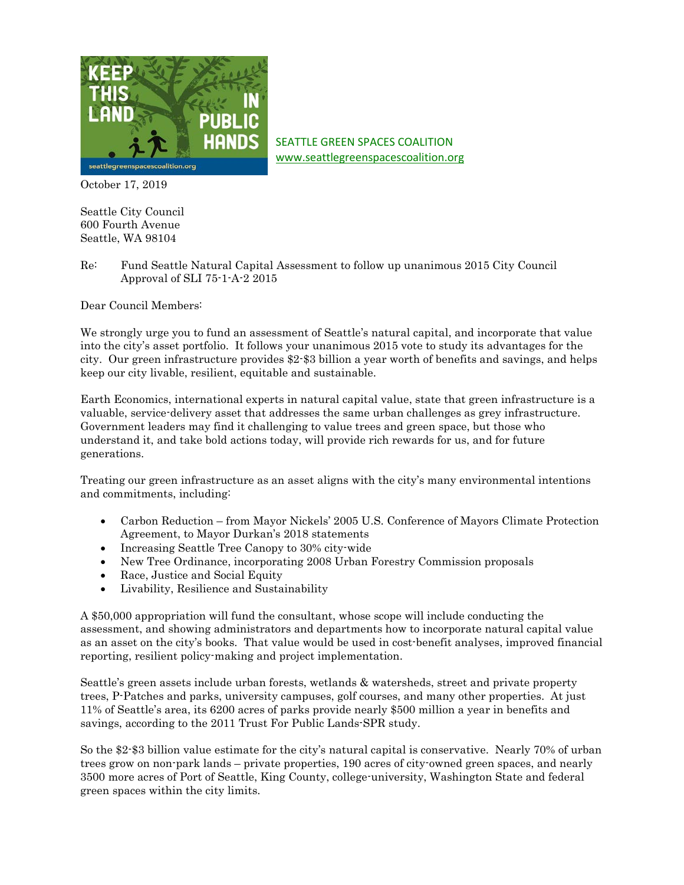

SEATTLE GREEN SPACES COALITION [www.seattlegreenspacescoalition.org](http://www.seattlegreenspacescoalition.org/)

October 17, 2019

Seattle City Council 600 Fourth Avenue Seattle, WA 98104

Re: Fund Seattle Natural Capital Assessment to follow up unanimous 2015 City Council Approval of SLI 75-1-A-2 2015

Dear Council Members:

We strongly urge you to fund an assessment of Seattle's natural capital, and incorporate that value into the city's asset portfolio. It follows your unanimous 2015 vote to study its advantages for the city. Our green infrastructure provides \$2-\$3 billion a year worth of benefits and savings, and helps keep our city livable, resilient, equitable and sustainable.

Earth Economics, international experts in natural capital value, state that green infrastructure is a valuable, service-delivery asset that addresses the same urban challenges as grey infrastructure. Government leaders may find it challenging to value trees and green space, but those who understand it, and take bold actions today, will provide rich rewards for us, and for future generations.

Treating our green infrastructure as an asset aligns with the city's many environmental intentions and commitments, including:

- Carbon Reduction from Mayor Nickels' 2005 U.S. Conference of Mayors Climate Protection Agreement, to Mayor Durkan's 2018 statements
- Increasing Seattle Tree Canopy to 30% city-wide
- New Tree Ordinance, incorporating 2008 Urban Forestry Commission proposals
- Race, Justice and Social Equity
- Livability, Resilience and Sustainability

A \$50,000 appropriation will fund the consultant, whose scope will include conducting the assessment, and showing administrators and departments how to incorporate natural capital value as an asset on the city's books. That value would be used in cost-benefit analyses, improved financial reporting, resilient policy-making and project implementation.

Seattle's green assets include urban forests, wetlands & watersheds, street and private property trees, P-Patches and parks, university campuses, golf courses, and many other properties. At just 11% of Seattle's area, its 6200 acres of parks provide nearly \$500 million a year in benefits and savings, according to the 2011 Trust For Public Lands-SPR study.

So the \$2-\$3 billion value estimate for the city's natural capital is conservative. Nearly 70% of urban trees grow on non-park lands – private properties, 190 acres of city-owned green spaces, and nearly 3500 more acres of Port of Seattle, King County, college-university, Washington State and federal green spaces within the city limits.